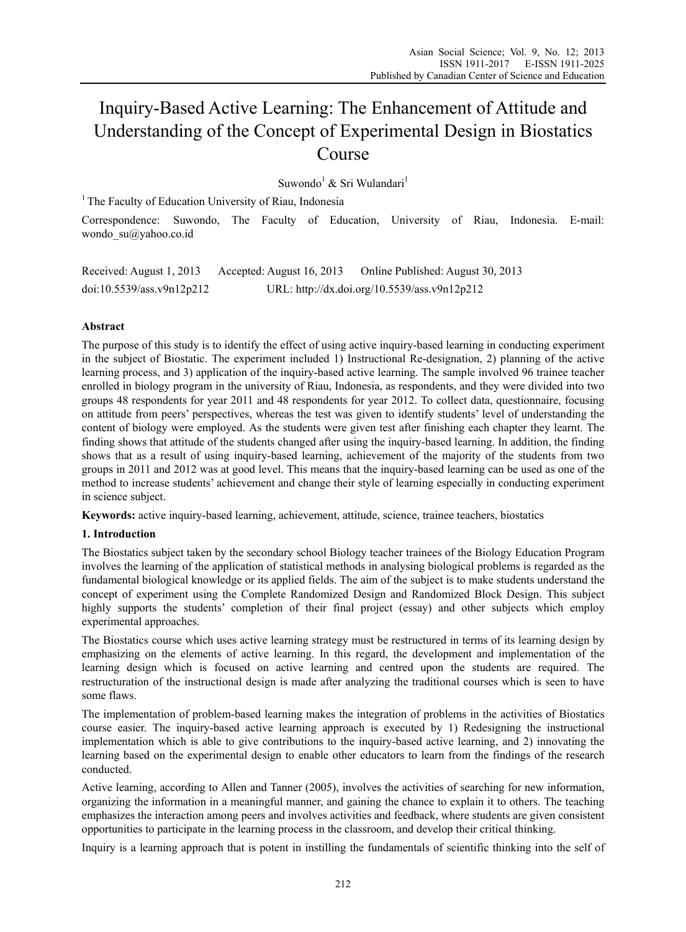# Inquiry-Based Active Learning: The Enhancement of Attitude and Understanding of the Concept of Experimental Design in Biostatics Course

Suwondo<sup>1</sup> & Sri Wulandari<sup>1</sup>

<sup>1</sup> The Faculty of Education University of Riau, Indonesia

Correspondence: Suwondo, The Faculty of Education, University of Riau, Indonesia. E-mail: wondo\_su@yahoo.co.id

Received: August 1, 2013 Accepted: August 16, 2013 Online Published: August 30, 2013 doi:10.5539/ass.v9n12p212 URL: http://dx.doi.org/10.5539/ass.v9n12p212

# **Abstract**

The purpose of this study is to identify the effect of using active inquiry-based learning in conducting experiment in the subject of Biostatic. The experiment included 1) Instructional Re-designation, 2) planning of the active learning process, and 3) application of the inquiry-based active learning. The sample involved 96 trainee teacher enrolled in biology program in the university of Riau, Indonesia, as respondents, and they were divided into two groups 48 respondents for year 2011 and 48 respondents for year 2012. To collect data, questionnaire, focusing on attitude from peers' perspectives, whereas the test was given to identify students' level of understanding the content of biology were employed. As the students were given test after finishing each chapter they learnt. The finding shows that attitude of the students changed after using the inquiry-based learning. In addition, the finding shows that as a result of using inquiry-based learning, achievement of the majority of the students from two groups in 2011 and 2012 was at good level. This means that the inquiry-based learning can be used as one of the method to increase students' achievement and change their style of learning especially in conducting experiment in science subject.

**Keywords:** active inquiry-based learning, achievement, attitude, science, trainee teachers, biostatics

## **1. Introduction**

The Biostatics subject taken by the secondary school Biology teacher trainees of the Biology Education Program involves the learning of the application of statistical methods in analysing biological problems is regarded as the fundamental biological knowledge or its applied fields. The aim of the subject is to make students understand the concept of experiment using the Complete Randomized Design and Randomized Block Design. This subject highly supports the students' completion of their final project (essay) and other subjects which employ experimental approaches.

The Biostatics course which uses active learning strategy must be restructured in terms of its learning design by emphasizing on the elements of active learning. In this regard, the development and implementation of the learning design which is focused on active learning and centred upon the students are required. The restructuration of the instructional design is made after analyzing the traditional courses which is seen to have some flaws.

The implementation of problem-based learning makes the integration of problems in the activities of Biostatics course easier. The inquiry-based active learning approach is executed by 1) Redesigning the instructional implementation which is able to give contributions to the inquiry-based active learning, and 2) innovating the learning based on the experimental design to enable other educators to learn from the findings of the research conducted.

Active learning, according to Allen and Tanner (2005), involves the activities of searching for new information, organizing the information in a meaningful manner, and gaining the chance to explain it to others. The teaching emphasizes the interaction among peers and involves activities and feedback, where students are given consistent opportunities to participate in the learning process in the classroom, and develop their critical thinking.

Inquiry is a learning approach that is potent in instilling the fundamentals of scientific thinking into the self of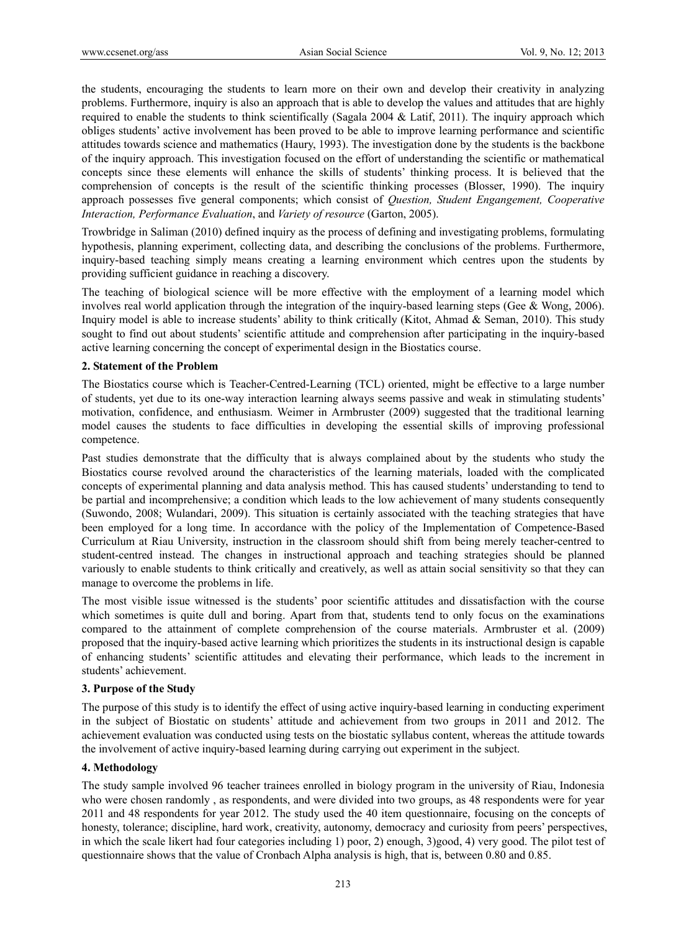the students, encouraging the students to learn more on their own and develop their creativity in analyzing problems. Furthermore, inquiry is also an approach that is able to develop the values and attitudes that are highly required to enable the students to think scientifically (Sagala 2004 & Latif, 2011). The inquiry approach which obliges students' active involvement has been proved to be able to improve learning performance and scientific attitudes towards science and mathematics (Haury, 1993). The investigation done by the students is the backbone of the inquiry approach. This investigation focused on the effort of understanding the scientific or mathematical concepts since these elements will enhance the skills of students' thinking process. It is believed that the comprehension of concepts is the result of the scientific thinking processes (Blosser, 1990). The inquiry approach possesses five general components; which consist of *Question, Student Engangement, Cooperative Interaction, Performance Evaluation*, and *Variety of resource* (Garton, 2005).

Trowbridge in Saliman (2010) defined inquiry as the process of defining and investigating problems, formulating hypothesis, planning experiment, collecting data, and describing the conclusions of the problems. Furthermore, inquiry-based teaching simply means creating a learning environment which centres upon the students by providing sufficient guidance in reaching a discovery.

The teaching of biological science will be more effective with the employment of a learning model which involves real world application through the integration of the inquiry-based learning steps (Gee & Wong, 2006). Inquiry model is able to increase students' ability to think critically (Kitot, Ahmad & Seman, 2010). This study sought to find out about students' scientific attitude and comprehension after participating in the inquiry-based active learning concerning the concept of experimental design in the Biostatics course.

## **2. Statement of the Problem**

The Biostatics course which is Teacher-Centred-Learning (TCL) oriented, might be effective to a large number of students, yet due to its one-way interaction learning always seems passive and weak in stimulating students' motivation, confidence, and enthusiasm. Weimer in Armbruster (2009) suggested that the traditional learning model causes the students to face difficulties in developing the essential skills of improving professional competence.

Past studies demonstrate that the difficulty that is always complained about by the students who study the Biostatics course revolved around the characteristics of the learning materials, loaded with the complicated concepts of experimental planning and data analysis method. This has caused students' understanding to tend to be partial and incomprehensive; a condition which leads to the low achievement of many students consequently (Suwondo, 2008; Wulandari, 2009). This situation is certainly associated with the teaching strategies that have been employed for a long time. In accordance with the policy of the Implementation of Competence-Based Curriculum at Riau University, instruction in the classroom should shift from being merely teacher-centred to student-centred instead. The changes in instructional approach and teaching strategies should be planned variously to enable students to think critically and creatively, as well as attain social sensitivity so that they can manage to overcome the problems in life.

The most visible issue witnessed is the students' poor scientific attitudes and dissatisfaction with the course which sometimes is quite dull and boring. Apart from that, students tend to only focus on the examinations compared to the attainment of complete comprehension of the course materials. Armbruster et al. (2009) proposed that the inquiry-based active learning which prioritizes the students in its instructional design is capable of enhancing students' scientific attitudes and elevating their performance, which leads to the increment in students' achievement.

## **3. Purpose of the Study**

The purpose of this study is to identify the effect of using active inquiry-based learning in conducting experiment in the subject of Biostatic on students' attitude and achievement from two groups in 2011 and 2012. The achievement evaluation was conducted using tests on the biostatic syllabus content, whereas the attitude towards the involvement of active inquiry-based learning during carrying out experiment in the subject.

## **4. Methodology**

The study sample involved 96 teacher trainees enrolled in biology program in the university of Riau, Indonesia who were chosen randomly , as respondents, and were divided into two groups, as 48 respondents were for year 2011 and 48 respondents for year 2012. The study used the 40 item questionnaire, focusing on the concepts of honesty, tolerance; discipline, hard work, creativity, autonomy, democracy and curiosity from peers' perspectives, in which the scale likert had four categories including 1) poor, 2) enough, 3)good, 4) very good. The pilot test of questionnaire shows that the value of Cronbach Alpha analysis is high, that is, between 0.80 and 0.85.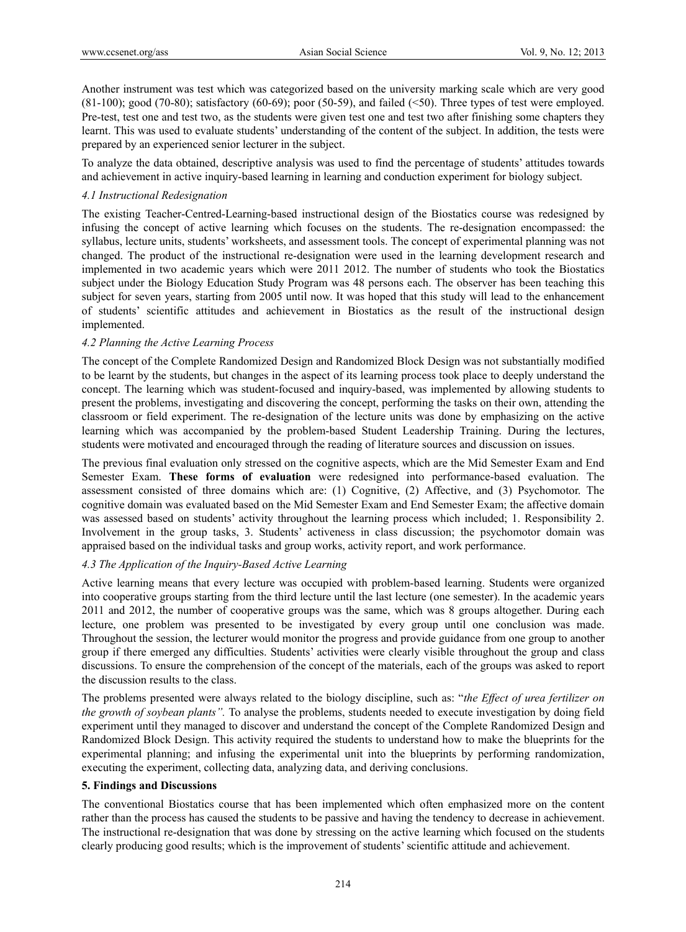Another instrument was test which was categorized based on the university marking scale which are very good  $(81-100)$ ; good  $(70-80)$ ; satisfactory  $(60-69)$ ; poor  $(50-59)$ , and failed  $(\leq 50)$ . Three types of test were employed. Pre-test, test one and test two, as the students were given test one and test two after finishing some chapters they learnt. This was used to evaluate students' understanding of the content of the subject. In addition, the tests were prepared by an experienced senior lecturer in the subject.

To analyze the data obtained, descriptive analysis was used to find the percentage of students' attitudes towards and achievement in active inquiry-based learning in learning and conduction experiment for biology subject.

## *4.1 Instructional Redesignation*

The existing Teacher-Centred-Learning-based instructional design of the Biostatics course was redesigned by infusing the concept of active learning which focuses on the students. The re-designation encompassed: the syllabus, lecture units, students' worksheets, and assessment tools. The concept of experimental planning was not changed. The product of the instructional re-designation were used in the learning development research and implemented in two academic years which were 2011 2012. The number of students who took the Biostatics subject under the Biology Education Study Program was 48 persons each. The observer has been teaching this subject for seven years, starting from 2005 until now. It was hoped that this study will lead to the enhancement of students' scientific attitudes and achievement in Biostatics as the result of the instructional design implemented.

## *4.2 Planning the Active Learning Process*

The concept of the Complete Randomized Design and Randomized Block Design was not substantially modified to be learnt by the students, but changes in the aspect of its learning process took place to deeply understand the concept. The learning which was student-focused and inquiry-based, was implemented by allowing students to present the problems, investigating and discovering the concept, performing the tasks on their own, attending the classroom or field experiment. The re-designation of the lecture units was done by emphasizing on the active learning which was accompanied by the problem-based Student Leadership Training. During the lectures, students were motivated and encouraged through the reading of literature sources and discussion on issues.

The previous final evaluation only stressed on the cognitive aspects, which are the Mid Semester Exam and End Semester Exam. **These forms of evaluation** were redesigned into performance-based evaluation. The assessment consisted of three domains which are: (1) Cognitive, (2) Affective, and (3) Psychomotor. The cognitive domain was evaluated based on the Mid Semester Exam and End Semester Exam; the affective domain was assessed based on students' activity throughout the learning process which included; 1. Responsibility 2. Involvement in the group tasks, 3. Students' activeness in class discussion; the psychomotor domain was appraised based on the individual tasks and group works, activity report, and work performance.

## *4.3 The Application of the Inquiry-Based Active Learning*

Active learning means that every lecture was occupied with problem-based learning. Students were organized into cooperative groups starting from the third lecture until the last lecture (one semester). In the academic years 2011 and 2012, the number of cooperative groups was the same, which was 8 groups altogether. During each lecture, one problem was presented to be investigated by every group until one conclusion was made. Throughout the session, the lecturer would monitor the progress and provide guidance from one group to another group if there emerged any difficulties. Students' activities were clearly visible throughout the group and class discussions. To ensure the comprehension of the concept of the materials, each of the groups was asked to report the discussion results to the class.

The problems presented were always related to the biology discipline, such as: "*the Effect of urea fertilizer on the growth of soybean plants".* To analyse the problems, students needed to execute investigation by doing field experiment until they managed to discover and understand the concept of the Complete Randomized Design and Randomized Block Design. This activity required the students to understand how to make the blueprints for the experimental planning; and infusing the experimental unit into the blueprints by performing randomization, executing the experiment, collecting data, analyzing data, and deriving conclusions.

## **5. Findings and Discussions**

The conventional Biostatics course that has been implemented which often emphasized more on the content rather than the process has caused the students to be passive and having the tendency to decrease in achievement. The instructional re-designation that was done by stressing on the active learning which focused on the students clearly producing good results; which is the improvement of students' scientific attitude and achievement.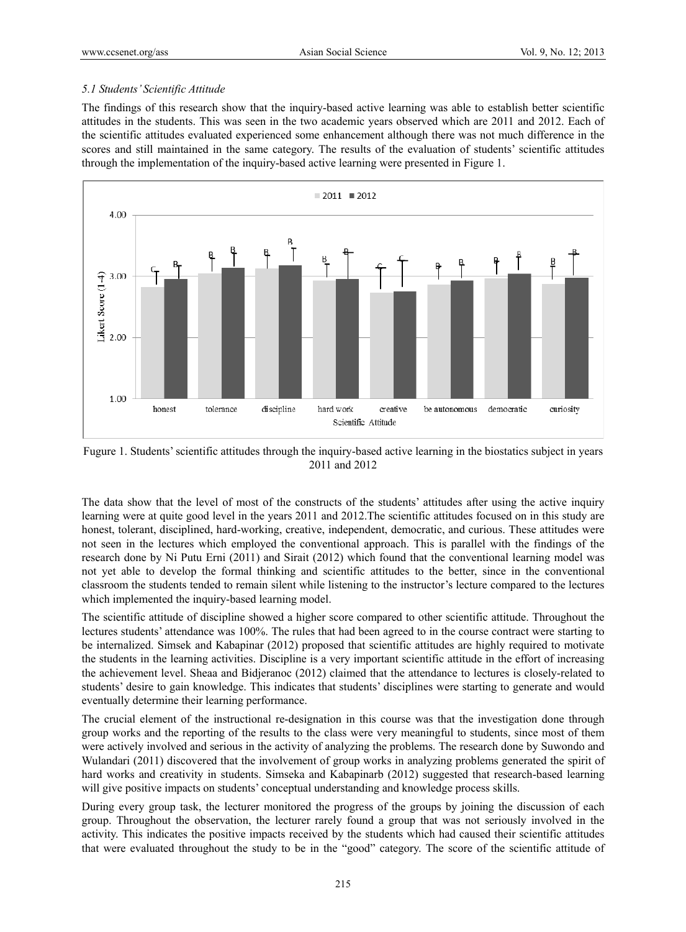## *5.1 Students' Scientific Attitude*

The findings of this research show that the inquiry-based active learning was able to establish better scientific attitudes in the students. This was seen in the two academic years observed which are 2011 and 2012. Each of the scientific attitudes evaluated experienced some enhancement although there was not much difference in the scores and still maintained in the same category. The results of the evaluation of students' scientific attitudes through the implementation of the inquiry-based active learning were presented in Figure 1.



Fugure 1. Students' scientific attitudes through the inquiry-based active learning in the biostatics subject in years 2011 and 2012

The data show that the level of most of the constructs of the students' attitudes after using the active inquiry learning were at quite good level in the years 2011 and 2012.The scientific attitudes focused on in this study are honest, tolerant, disciplined, hard-working, creative, independent, democratic, and curious. These attitudes were not seen in the lectures which employed the conventional approach. This is parallel with the findings of the research done by Ni Putu Erni (2011) and Sirait (2012) which found that the conventional learning model was not yet able to develop the formal thinking and scientific attitudes to the better, since in the conventional classroom the students tended to remain silent while listening to the instructor's lecture compared to the lectures which implemented the inquiry-based learning model.

The scientific attitude of discipline showed a higher score compared to other scientific attitude. Throughout the lectures students' attendance was 100%. The rules that had been agreed to in the course contract were starting to be internalized. Simsek and Kabapinar (2012) proposed that scientific attitudes are highly required to motivate the students in the learning activities. Discipline is a very important scientific attitude in the effort of increasing the achievement level. Sheaa and Bidjeranoc (2012) claimed that the attendance to lectures is closely-related to students' desire to gain knowledge. This indicates that students' disciplines were starting to generate and would eventually determine their learning performance.

The crucial element of the instructional re-designation in this course was that the investigation done through group works and the reporting of the results to the class were very meaningful to students, since most of them were actively involved and serious in the activity of analyzing the problems. The research done by Suwondo and Wulandari (2011) discovered that the involvement of group works in analyzing problems generated the spirit of hard works and creativity in students. Simseka and Kabapinarb (2012) suggested that research-based learning will give positive impacts on students' conceptual understanding and knowledge process skills.

During every group task, the lecturer monitored the progress of the groups by joining the discussion of each group. Throughout the observation, the lecturer rarely found a group that was not seriously involved in the activity. This indicates the positive impacts received by the students which had caused their scientific attitudes that were evaluated throughout the study to be in the "good" category. The score of the scientific attitude of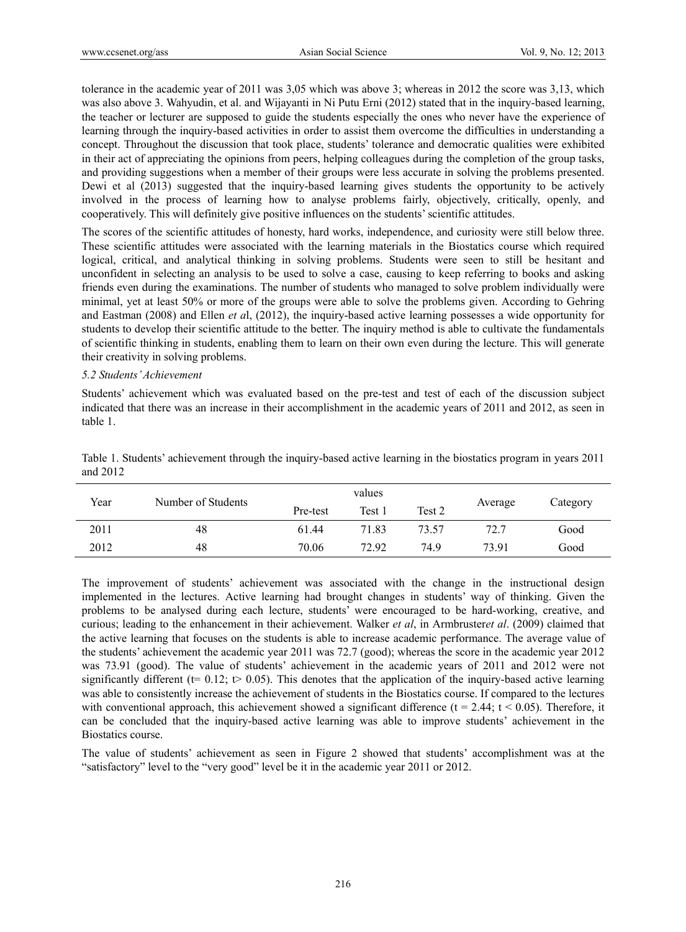tolerance in the academic year of 2011 was 3,05 which was above 3; whereas in 2012 the score was 3,13, which was also above 3. Wahyudin, et al. and Wijayanti in Ni Putu Erni (2012) stated that in the inquiry-based learning, the teacher or lecturer are supposed to guide the students especially the ones who never have the experience of learning through the inquiry-based activities in order to assist them overcome the difficulties in understanding a concept. Throughout the discussion that took place, students' tolerance and democratic qualities were exhibited in their act of appreciating the opinions from peers, helping colleagues during the completion of the group tasks, and providing suggestions when a member of their groups were less accurate in solving the problems presented. Dewi et al (2013) suggested that the inquiry-based learning gives students the opportunity to be actively involved in the process of learning how to analyse problems fairly, objectively, critically, openly, and cooperatively. This will definitely give positive influences on the students' scientific attitudes.

The scores of the scientific attitudes of honesty, hard works, independence, and curiosity were still below three. These scientific attitudes were associated with the learning materials in the Biostatics course which required logical, critical, and analytical thinking in solving problems. Students were seen to still be hesitant and unconfident in selecting an analysis to be used to solve a case, causing to keep referring to books and asking friends even during the examinations. The number of students who managed to solve problem individually were minimal, yet at least 50% or more of the groups were able to solve the problems given. According to Gehring and Eastman (2008) and Ellen *et a*l, (2012), the inquiry-based active learning possesses a wide opportunity for students to develop their scientific attitude to the better. The inquiry method is able to cultivate the fundamentals of scientific thinking in students, enabling them to learn on their own even during the lecture. This will generate their creativity in solving problems.

#### *5.2 Students' Achievement*

Students' achievement which was evaluated based on the pre-test and test of each of the discussion subject indicated that there was an increase in their accomplishment in the academic years of 2011 and 2012, as seen in table 1.

| Year | Number of Students | values   |        |        |         |          |
|------|--------------------|----------|--------|--------|---------|----------|
|      |                    | Pre-test | Test 1 | Test 2 | Average | Category |
| 2011 | 48                 | 61.44    | 71.83  | 73.57  | 72.7    | Good     |
| 2012 | 48                 | 70.06    | 72.92  | 74.9   | 73.91   | Good     |

Table 1. Students' achievement through the inquiry-based active learning in the biostatics program in years 2011 and 2012

The improvement of students' achievement was associated with the change in the instructional design implemented in the lectures. Active learning had brought changes in students' way of thinking. Given the problems to be analysed during each lecture, students' were encouraged to be hard-working, creative, and curious; leading to the enhancement in their achievement. Walker *et al*, in Armbruster*et al*. (2009) claimed that the active learning that focuses on the students is able to increase academic performance. The average value of the students' achievement the academic year 2011 was 72.7 (good); whereas the score in the academic year 2012 was 73.91 (good). The value of students' achievement in the academic years of 2011 and 2012 were not significantly different ( $t= 0.12$ ;  $t> 0.05$ ). This denotes that the application of the inquiry-based active learning was able to consistently increase the achievement of students in the Biostatics course. If compared to the lectures with conventional approach, this achievement showed a significant difference ( $t = 2.44$ ;  $t < 0.05$ ). Therefore, it can be concluded that the inquiry-based active learning was able to improve students' achievement in the Biostatics course.

The value of students' achievement as seen in Figure 2 showed that students' accomplishment was at the "satisfactory" level to the "very good" level be it in the academic year 2011 or 2012.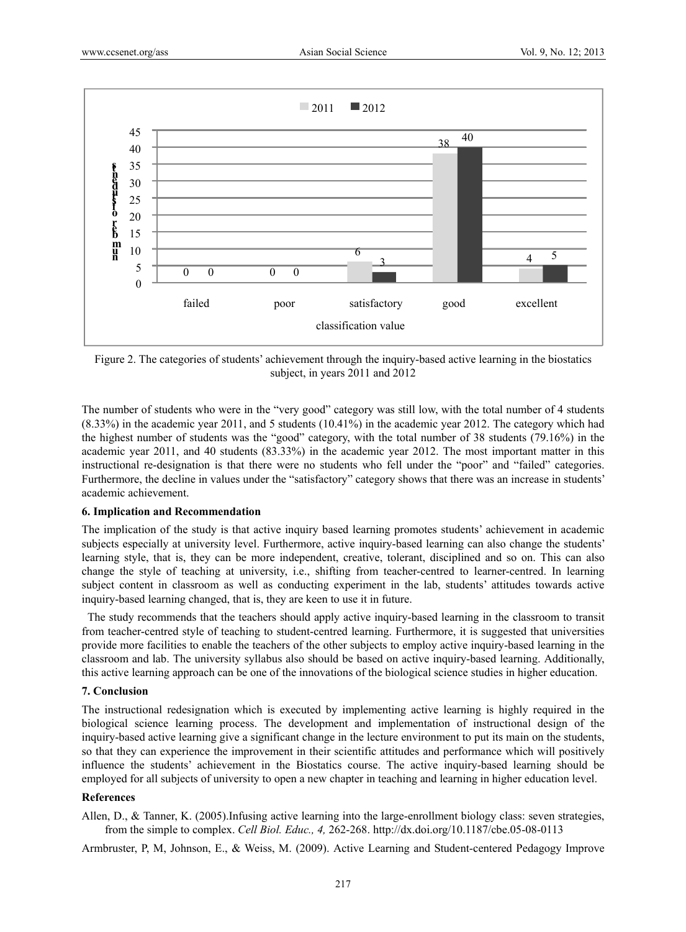

Figure 2. The categories of students' achievement through the inquiry-based active learning in the biostatics subject, in years 2011 and 2012

The number of students who were in the "very good" category was still low, with the total number of 4 students (8.33%) in the academic year 2011, and 5 students (10.41%) in the academic year 2012. The category which had the highest number of students was the "good" category, with the total number of 38 students (79.16%) in the academic year 2011, and 40 students (83.33%) in the academic year 2012. The most important matter in this instructional re-designation is that there were no students who fell under the "poor" and "failed" categories. Furthermore, the decline in values under the "satisfactory" category shows that there was an increase in students' academic achievement.

## **6. Implication and Recommendation**

The implication of the study is that active inquiry based learning promotes students' achievement in academic subjects especially at university level. Furthermore, active inquiry-based learning can also change the students' learning style, that is, they can be more independent, creative, tolerant, disciplined and so on. This can also change the style of teaching at university, i.e., shifting from teacher-centred to learner-centred. In learning subject content in classroom as well as conducting experiment in the lab, students' attitudes towards active inquiry-based learning changed, that is, they are keen to use it in future.

 The study recommends that the teachers should apply active inquiry-based learning in the classroom to transit from teacher-centred style of teaching to student-centred learning. Furthermore, it is suggested that universities provide more facilities to enable the teachers of the other subjects to employ active inquiry-based learning in the classroom and lab. The university syllabus also should be based on active inquiry-based learning. Additionally, this active learning approach can be one of the innovations of the biological science studies in higher education.

## **7. Conclusion**

The instructional redesignation which is executed by implementing active learning is highly required in the biological science learning process. The development and implementation of instructional design of the inquiry-based active learning give a significant change in the lecture environment to put its main on the students, so that they can experience the improvement in their scientific attitudes and performance which will positively influence the students' achievement in the Biostatics course. The active inquiry-based learning should be employed for all subjects of university to open a new chapter in teaching and learning in higher education level.

## **References**

Allen, D., & Tanner, K. (2005).Infusing active learning into the large-enrollment biology class: seven strategies, from the simple to complex. *Cell Biol. Educ., 4,* 262-268. http://dx.doi.org/10.1187/cbe.05-08-0113

Armbruster, P, M, Johnson, E., & Weiss, M. (2009). Active Learning and Student-centered Pedagogy Improve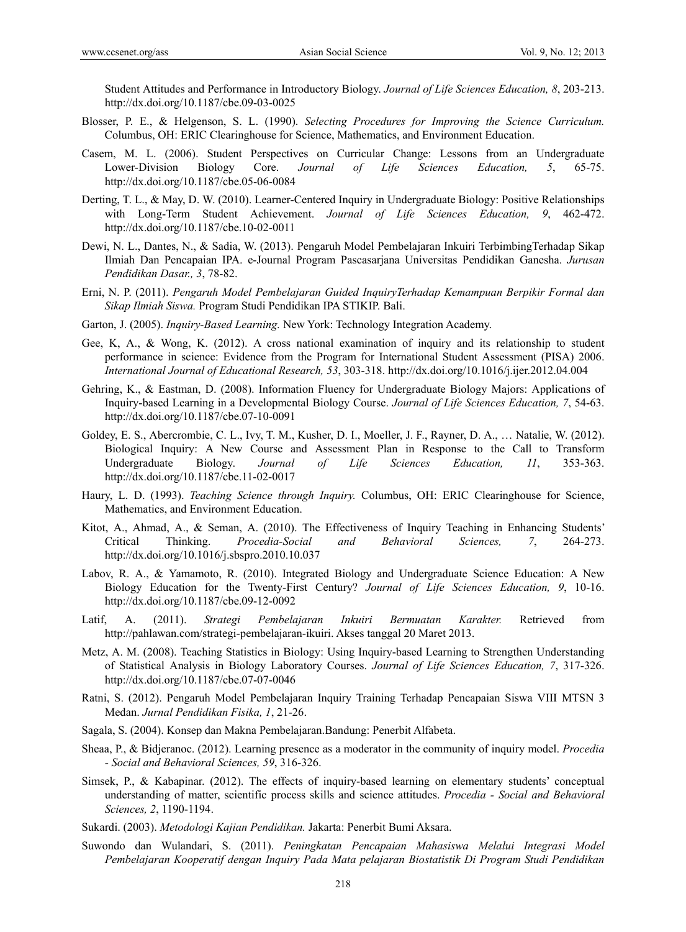Student Attitudes and Performance in Introductory Biology. *Journal of Life Sciences Education, 8*, 203-213. http://dx.doi.org/10.1187/cbe.09-03-0025

- Blosser, P. E., & Helgenson, S. L. (1990). *Selecting Procedures for Improving the Science Curriculum.*  Columbus, OH: ERIC Clearinghouse for Science, Mathematics, and Environment Education.
- Casem, M. L. (2006). Student Perspectives on Curricular Change: Lessons from an Undergraduate Lower-Division Biology Core. *Journal of Life Sciences Education, 5*, 65-75. http://dx.doi.org/10.1187/cbe.05-06-0084
- Derting, T. L., & May, D. W. (2010). Learner-Centered Inquiry in Undergraduate Biology: Positive Relationships with Long-Term Student Achievement. *Journal of Life Sciences Education, 9*, 462-472. http://dx.doi.org/10.1187/cbe.10-02-0011
- Dewi, N. L., Dantes, N., & Sadia, W. (2013). Pengaruh Model Pembelajaran Inkuiri TerbimbingTerhadap Sikap Ilmiah Dan Pencapaian IPA. e-Journal Program Pascasarjana Universitas Pendidikan Ganesha. *Jurusan Pendidikan Dasar., 3*, 78-82.
- Erni, N. P. (2011). *Pengaruh Model Pembelajaran Guided InquiryTerhadap Kemampuan Berpikir Formal dan Sikap Ilmiah Siswa.* Program Studi Pendidikan IPA STIKIP. Bali.
- Garton, J. (2005). *Inquiry-Based Learning.* New York: Technology Integration Academy.
- Gee, K, A., & Wong, K. (2012). A cross national examination of inquiry and its relationship to student performance in science: Evidence from the Program for International Student Assessment (PISA) 2006. *International Journal of Educational Research, 53*, 303-318. http://dx.doi.org/10.1016/j.ijer.2012.04.004
- Gehring, K., & Eastman, D. (2008). Information Fluency for Undergraduate Biology Majors: Applications of Inquiry-based Learning in a Developmental Biology Course. *Journal of Life Sciences Education, 7*, 54-63. http://dx.doi.org/10.1187/cbe.07-10-0091
- Goldey, E. S., Abercrombie, C. L., Ivy, T. M., Kusher, D. I., Moeller, J. F., Rayner, D. A., … Natalie, W. (2012). Biological Inquiry: A New Course and Assessment Plan in Response to the Call to Transform Undergraduate Biology. *Journal of Life Sciences Education, 11*, 353-363. http://dx.doi.org/10.1187/cbe.11-02-0017
- Haury, L. D. (1993). *Teaching Science through Inquiry.* Columbus, OH: ERIC Clearinghouse for Science, Mathematics, and Environment Education.
- Kitot, A., Ahmad, A., & Seman, A. (2010). The Effectiveness of Inquiry Teaching in Enhancing Students' Critical Thinking. *Procedia-Social and Behavioral Sciences, 7*, 264-273. http://dx.doi.org/10.1016/j.sbspro.2010.10.037
- Labov, R. A., & Yamamoto, R. (2010). Integrated Biology and Undergraduate Science Education: A New Biology Education for the Twenty-First Century? *Journal of Life Sciences Education, 9*, 10-16. http://dx.doi.org/10.1187/cbe.09-12-0092
- Latif, A. (2011). *Strategi Pembelajaran Inkuiri Bermuatan Karakter.* Retrieved from http://pahlawan.com/strategi-pembelajaran-ikuiri. Akses tanggal 20 Maret 2013.
- Metz, A. M. (2008). Teaching Statistics in Biology: Using Inquiry-based Learning to Strengthen Understanding of Statistical Analysis in Biology Laboratory Courses. *Journal of Life Sciences Education, 7*, 317-326. http://dx.doi.org/10.1187/cbe.07-07-0046
- Ratni, S. (2012). Pengaruh Model Pembelajaran Inquiry Training Terhadap Pencapaian Siswa VIII MTSN 3 Medan. *Jurnal Pendidikan Fisika, 1*, 21-26.
- Sagala, S. (2004). Konsep dan Makna Pembelajaran.Bandung: Penerbit Alfabeta.
- Sheaa, P., & Bidjeranoc. (2012). Learning presence as a moderator in the community of inquiry model. *Procedia - Social and Behavioral Sciences, 59*, 316-326.
- Simsek, P., & Kabapinar. (2012). The effects of inquiry-based learning on elementary students' conceptual understanding of matter, scientific process skills and science attitudes. *Procedia - Social and Behavioral Sciences, 2*, 1190-1194.
- Sukardi. (2003). *Metodologi Kajian Pendidikan.* Jakarta: Penerbit Bumi Aksara.
- Suwondo dan Wulandari, S. (2011). *Peningkatan Pencapaian Mahasiswa Melalui Integrasi Model Pembelajaran Kooperatif dengan Inquiry Pada Mata pelajaran Biostatistik Di Program Studi Pendidikan*